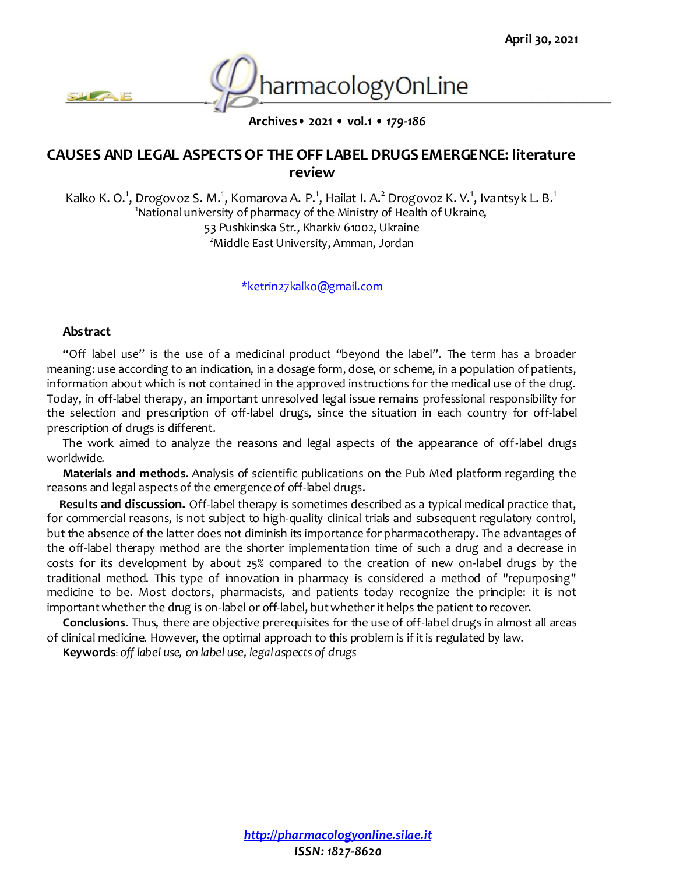

**Archives• 2021 • vol.1 •** *179-186*

# **CAUSES AND LEGAL ASPECTS OF THE OFF LABEL DRUGS EMERGENCE: literature review**

Kalko K. O.<sup>1</sup>, Drogovoz S. M.<sup>1</sup>, Komarova A. P.<sup>1</sup>, Hailat I. A.<sup>2</sup> Drogovoz K. V.<sup>1</sup>, Ivantsyk L. B.<sup>1</sup> <sup>1</sup>National university of pharmacy of the Ministry of Health of Ukraine, 53 Pushkinska Str., Kharkiv 61002, Ukraine <sup>2</sup> Middle East University, Amman, Jordan

#### \*ketrin27kalko@gmail.com

#### **Abstract**

"Off label use" is the use of a medicinal product "beyond the label". The term has a broader meaning: use according to an indication, in a dosage form, dose, or scheme, in a population of patients, information about which is not contained in the approved instructions for the medical use of the drug. Today, in off-label therapy, an important unresolved legal issue remains professional responsibility for the selection and prescription of off-label drugs, since the situation in each country for off-label prescription of drugs is different.

The work aimed to analyze the reasons and legal aspects of the appearance of off-label drugs worldwide.

**Materials and methods**. Analysis of scientific publications on the Pub Med platform regarding the reasons and legal aspects of the emergence of off-label drugs.

**Results and discussion.** Off-label therapy is sometimes described as a typical medical practice that, for commercial reasons, is not subject to high-quality clinical trials and subsequent regulatory control, but the absence of the latter does not diminish its importance for pharmacotherapy. The advantages of the off-label therapy method are the shorter implementation time of such a drug and a decrease in costs for its development by about 25% compared to the creation of new on-label drugs by the traditional method. This type of innovation in pharmacy is considered a method of "repurposing" medicine to be. Most doctors, pharmacists, and patients today recognize the principle: it is not important whether the drug is on-label or off-label, but whether it helps the patient to recover.

**Conclusions**. Thus, there are objective prerequisites for the use of off-label drugs in almost all areas of clinical medicine. However, the optimal approach to this problem is if it is regulated by law.

**Keywords**: *off label use, on label use, legal aspects of drugs*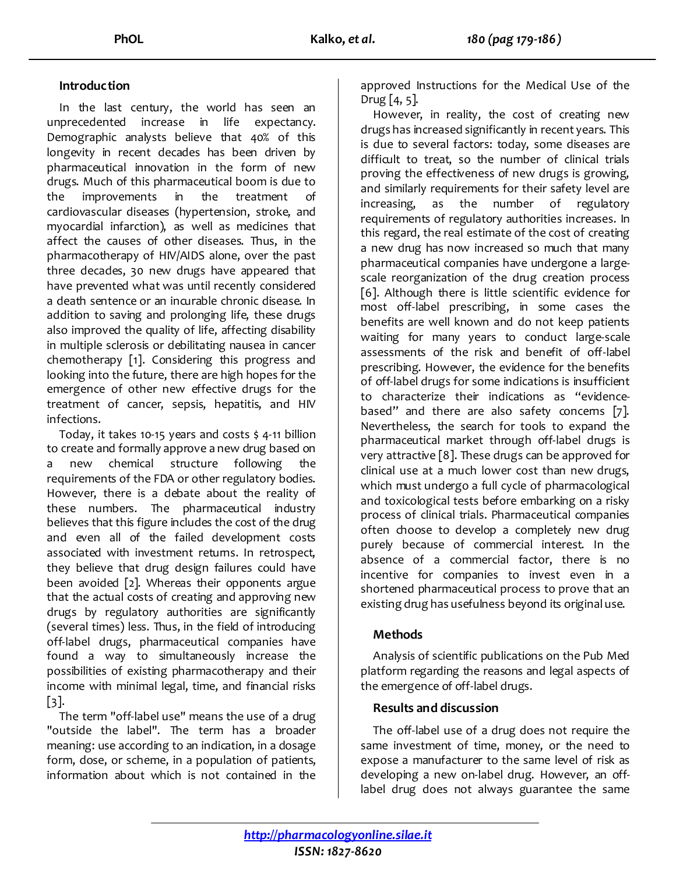### **Introduction**

In the last century, the world has seen an unprecedented increase in life expectancy. Demographic analysts believe that 40% of this longevity in recent decades has been driven by pharmaceutical innovation in the form of new drugs. Much of this pharmaceutical boom is due to the improvements in the treatment of cardiovascular diseases (hypertension, stroke, and myocardial infarction), as well as medicines that affect the causes of other diseases. Thus, in the pharmacotherapy of HIV/AIDS alone, over the past three decades, 30 new drugs have appeared that have prevented what was until recently considered a death sentence or an incurable chronic disease. In addition to saving and prolonging life, these drugs also improved the quality of life, affecting disability in multiple sclerosis or debilitating nausea in cancer chemotherapy [1]. Considering this progress and looking into the future, there are high hopes for the emergence of other new effective drugs for the treatment of cancer, sepsis, hepatitis, and HIV infections.

Today, it takes 10-15 years and costs \$ 4-11 billion to create and formally approve a new drug based on a new chemical structure following the requirements of the FDA or other regulatory bodies. However, there is a debate about the reality of these numbers. The pharmaceutical industry believes that this figure includes the cost of the drug and even all of the failed development costs associated with investment returns. In retrospect, they believe that drug design failures could have been avoided [2]. Whereas their opponents argue that the actual costs of creating and approving new drugs by regulatory authorities are significantly (several times) less. Thus, in the field of introducing off-label drugs, pharmaceutical companies have found a way to simultaneously increase the possibilities of existing pharmacotherapy and their income with minimal legal, time, and financial risks [3].

The term "off-label use" means the use of a drug "outside the label". The term has a broader meaning: use according to an indication, in a dosage form, dose, or scheme, in a population of patients, information about which is not contained in the approved Instructions for the Medical Use of the Drug  $[4, 5]$ .

However, in reality, the cost of creating new drugs has increased significantly in recent years. This is due to several factors: today, some diseases are difficult to treat, so the number of clinical trials proving the effectiveness of new drugs is growing, and similarly requirements for their safety level are increasing, as the number of regulatory requirements of regulatory authorities increases. In this regard, the real estimate of the cost of creating a new drug has now increased so much that many pharmaceutical companies have undergone a largescale reorganization of the drug creation process [6]. Although there is little scientific evidence for most off-label prescribing, in some cases the benefits are well known and do not keep patients waiting for many years to conduct large-scale assessments of the risk and benefit of off-label prescribing. However, the evidence for the benefits of off-label drugs for some indications is insufficient to characterize their indications as "evidencebased" and there are also safety concems [7]. Nevertheless, the search for tools to expand the pharmaceutical market through off-label drugs is very attractive [8]. These drugs can be approved for clinical use at a much lower cost than new drugs, which must undergo a full cycle of pharmacological and toxicological tests before embarking on a risky process of clinical trials. Pharmaceutical companies often choose to develop a completely new drug purely because of commercial interest. In the absence of a commercial factor, there is no incentive for companies to invest even in a shortened pharmaceutical process to prove that an existing drug has usefulness beyond its original use.

## **Methods**

Analysis of scientific publications on the Pub Med platform regarding the reasons and legal aspects of the emergence of off-label drugs.

#### **Results and discussion**

The off-label use of a drug does not require the same investment of time, money, or the need to expose a manufacturer to the same level of risk as developing a new on-label drug. However, an offlabel drug does not always guarantee the same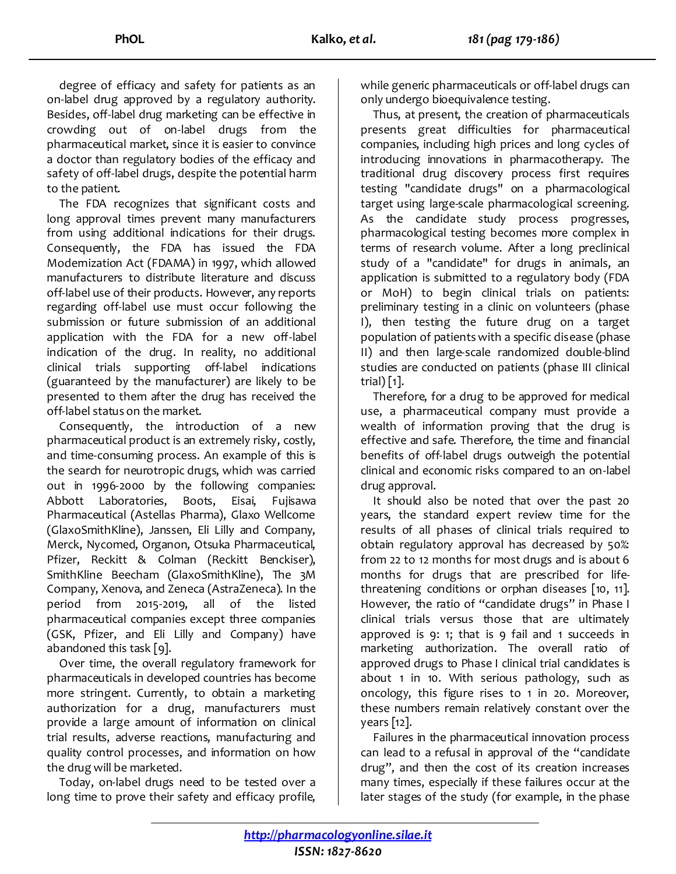degree of efficacy and safety for patients as an on-label drug approved by a regulatory authority. Besides, off-label drug marketing can be effective in crowding out of on-label drugs from the pharmaceutical market, since it is easier to convince a doctor than regulatory bodies of the efficacy and safety of off-label drugs, despite the potential harm to the patient.

The FDA recognizes that significant costs and long approval times prevent many manufacturers from using additional indications for their drugs. Consequently, the FDA has issued the FDA Modernization Act (FDAMA) in 1997, which allowed manufacturers to distribute literature and discuss off-label use of their products. However, any reports regarding off-label use must occur following the submission or future submission of an additional application with the FDA for a new off-label indication of the drug. In reality, no additional clinical trials supporting off-label indications (guaranteed by the manufacturer) are likely to be presented to them after the drug has received the off-label status on the market.

Consequently, the introduction of a new pharmaceutical product is an extremely risky, costly, and time-consuming process. An example of this is the search for neurotropic drugs, which was carried out in 1996-2000 by the following companies: Abbott Laboratories, Boots, Eisai, Fujisawa Pharmaceutical (Astellas Pharma), Glaxo Wellcome (GlaxoSmithKline), Janssen, Eli Lilly and Company, Merck, Nycomed, Organon, Otsuka Pharmaceutical, Pfizer, Reckitt & Colman (Reckitt Benckiser), SmithKline Beecham (GlaxoSmithKline), The 3M Company, Xenova, and Zeneca (AstraZeneca). In the period from 2015-2019, all of the listed pharmaceutical companies except three companies (GSK, Pfizer, and Eli Lilly and Company) have abandoned this task [9].

Over time, the overall regulatory framework for pharmaceuticals in developed countries has become more stringent. Currently, to obtain a marketing authorization for a drug, manufacturers must provide a large amount of information on clinical trial results, adverse reactions, manufacturing and quality control processes, and information on how the drug will be marketed.

Today, on-label drugs need to be tested over a long time to prove their safety and efficacy profile,

while generic pharmaceuticals or off-label drugs can only undergo bioequivalence testing.

Thus, at present, the creation of pharmaceuticals presents great difficulties for pharmaceutical companies, including high prices and long cycles of introducing innovations in pharmacotherapy. The traditional drug discovery process first requires testing "candidate drugs" on a pharmacological target using large-scale pharmacological screening. As the candidate study process progresses, pharmacological testing becomes more complex in terms of research volume. After a long preclinical study of a "candidate" for drugs in animals, an application is submitted to a regulatory body (FDA or MoH) to begin clinical trials on patients: preliminary testing in a clinic on volunteers (phase I), then testing the future drug on a target population of patients with a specific disease (phase II) and then large-scale randomized double-blind studies are conducted on patients (phase III clinical trial) [1].

Therefore, for a drug to be approved for medical use, a pharmaceutical company must provide a wealth of information proving that the drug is effective and safe. Therefore, the time and financial benefits of off-label drugs outweigh the potential clinical and economic risks compared to an on-label drug approval.

It should also be noted that over the past 20 years, the standard expert review time for the results of all phases of clinical trials required to obtain regulatory approval has decreased by 50%: from 22 to 12 months for most drugs and is about 6 months for drugs that are prescribed for lifethreatening conditions or orphan diseases [10, 11]. However, the ratio of "candidate drugs" in Phase I clinical trials versus those that are ultimately approved is  $9: 1$ ; that is  $9$  fail and 1 succeeds in marketing authorization. The overall ratio of approved drugs to Phase I clinical trial candidates is about 1 in 10. With serious pathology, such as oncology, this figure rises to 1 in 20. Moreover, these numbers remain relatively constant over the years [12].

Failures in the pharmaceutical innovation process can lead to a refusal in approval of the "candidate drug", and then the cost of its creation increases many times, especially if these failures occur at the later stages of the study (for example, in the phase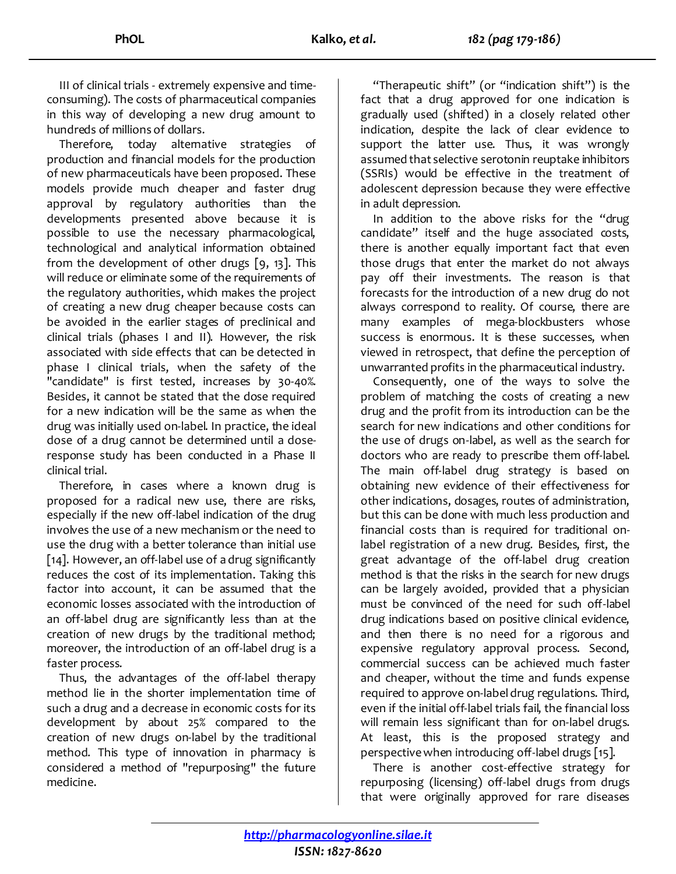III of clinical trials - extremely expensive and timeconsuming). The costs of pharmaceutical companies in this way of developing a new drug amount to hundreds of millions of dollars.

Therefore, today alternative strategies of production and financial models for the production of new pharmaceuticals have been proposed. These models provide much cheaper and faster drug approval by regulatory authorities than the developments presented above because it is possible to use the necessary pharmacological, technological and analytical information obtained from the development of other drugs [9, 13]. This will reduce or eliminate some of the requirements of the regulatory authorities, which makes the project of creating a new drug cheaper because costs can be avoided in the earlier stages of preclinical and clinical trials (phases I and II). However, the risk associated with side effects that can be detected in phase I clinical trials, when the safety of the "candidate" is first tested, increases by 30-40%. Besides, it cannot be stated that the dose required for a new indication will be the same as when the drug was initially used on-label. In practice, the ideal dose of a drug cannot be determined until a doseresponse study has been conducted in a Phase II clinical trial.

Therefore, in cases where a known drug is proposed for a radical new use, there are risks, especially if the new off-label indication of the drug involves the use of a new mechanism or the need to use the drug with a better tolerance than initial use [14]. However, an off-label use of a drug significantly reduces the cost of its implementation. Taking this factor into account, it can be assumed that the economic losses associated with the introduction of an off-label drug are significantly less than at the creation of new drugs by the traditional method; moreover, the introduction of an off-label drug is a faster process.

Thus, the advantages of the off-label therapy method lie in the shorter implementation time of such a drug and a decrease in economic costs for its development by about 25% compared to the creation of new drugs on-label by the traditional method. This type of innovation in pharmacy is considered a method of "repurposing" the future medicine.

"Therapeutic shift" (or "indication shift") is the fact that a drug approved for one indication is gradually used (shifted) in a closely related other indication, despite the lack of clear evidence to support the latter use. Thus, it was wrongly assumed that selective serotonin reuptake inhibitors (SSRIs) would be effective in the treatment of adolescent depression because they were effective in adult depression.

In addition to the above risks for the "drug candidate" itself and the huge associated costs, there is another equally important fact that even those drugs that enter the market do not always pay off their investments. The reason is that forecasts for the introduction of a new drug do not always correspond to reality. Of course, there are many examples of mega-blockbusters whose success is enormous. It is these successes, when viewed in retrospect, that define the perception of unwarranted profits in the pharmaceutical industry.

Consequently, one of the ways to solve the problem of matching the costs of creating a new drug and the profit from its introduction can be the search for new indications and other conditions for the use of drugs on-label, as well as the search for doctors who are ready to prescribe them off-label. The main off-label drug strategy is based on obtaining new evidence of their effectiveness for other indications, dosages, routes of administration, but this can be done with much less production and financial costs than is required for traditional onlabel registration of a new drug. Besides, first, the great advantage of the off-label drug creation method is that the risks in the search for new drugs can be largely avoided, provided that a physician must be convinced of the need for such off-label drug indications based on positive clinical evidence, and then there is no need for a rigorous and expensive regulatory approval process. Second, commercial success can be achieved much faster and cheaper, without the time and funds expense required to approve on-label drug regulations. Third, even if the initial off-label trials fail, the financial loss will remain less significant than for on-label drugs. At least, this is the proposed strategy and perspective when introducing off-label drugs [15].

There is another cost-effective strategy for repurposing (licensing) off-label drugs from drugs that were originally approved for rare diseases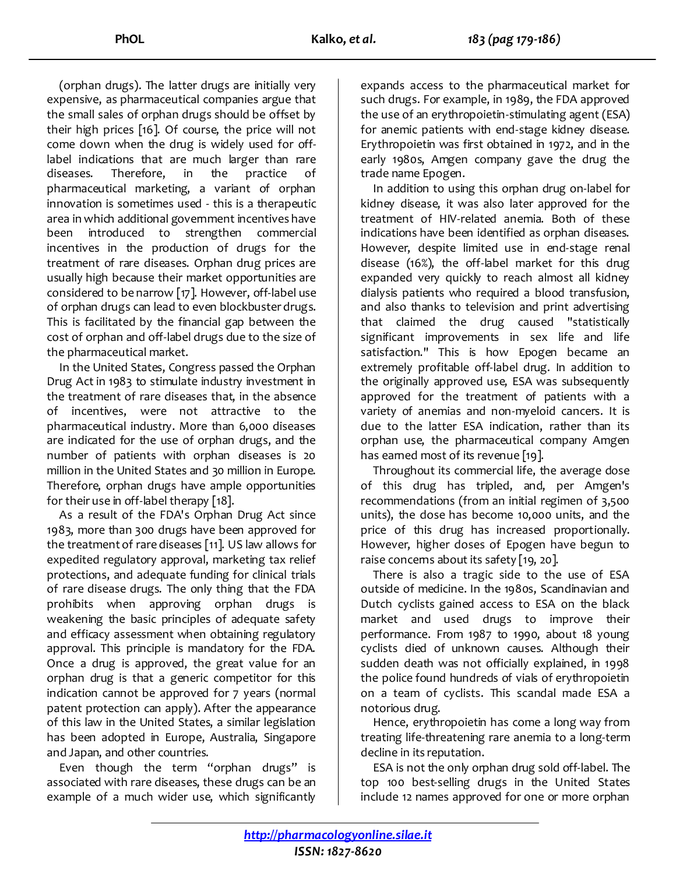(orphan drugs). The latter drugs are initially very expensive, as pharmaceutical companies argue that the small sales of orphan drugs should be offset by their high prices [16]. Of course, the price will not come down when the drug is widely used for offlabel indications that are much larger than rare diseases. Therefore, in the practice of pharmaceutical marketing, a variant of orphan innovation is sometimes used - this is a therapeutic area in which additional government incentives have been introduced to strengthen commercial incentives in the production of drugs for the treatment of rare diseases. Orphan drug prices are usually high because their market opportunities are considered to be narrow [17]. However, off-label use of orphan drugs can lead to even blockbuster drugs. This is facilitated by the financial gap between the cost of orphan and off-label drugs due to the size of the pharmaceutical market.

In the United States, Congress passed the Orphan Drug Act in 1983 to stimulate industry investment in the treatment of rare diseases that, in the absence of incentives, were not attractive to the pharmaceutical industry. More than 6,000 diseases are indicated for the use of orphan drugs, and the number of patients with orphan diseases is 20 million in the United States and 30 million in Europe. Therefore, orphan drugs have ample opportunities for their use in off-label therapy [18].

As a result of the FDA's Orphan Drug Act since 1983, more than 300 drugs have been approved for the treatment of rare diseases [11]. US law allows for expedited regulatory approval, marketing tax relief protections, and adequate funding for clinical trials of rare disease drugs. The only thing that the FDA prohibits when approving orphan drugs is weakening the basic principles of adequate safety and efficacy assessment when obtaining regulatory approval. This principle is mandatory for the FDA. Once a drug is approved, the great value for an orphan drug is that a generic competitor for this indication cannot be approved for 7 years (normal patent protection can apply). After the appearance of this law in the United States, a similar legislation has been adopted in Europe, Australia, Singapore and Japan, and other countries.

Even though the term "orphan drugs" is associated with rare diseases, these drugs can be an example of a much wider use, which significantly expands access to the pharmaceutical market for such drugs. For example, in 1989, the FDA approved the use of an erythropoietin-stimulating agent (ESA) for anemic patients with end-stage kidney disease. Erythropoietin was first obtained in 1972, and in the early 1980s, Amgen company gave the drug the trade name Epogen.

In addition to using this orphan drug on-label for kidney disease, it was also later approved for the treatment of HIV-related anemia. Both of these indications have been identified as orphan diseases. However, despite limited use in end-stage renal disease (16%), the off-label market for this drug expanded very quickly to reach almost all kidney dialysis patients who required a blood transfusion, and also thanks to television and print advertising that claimed the drug caused "statistically significant improvements in sex life and life satisfaction." This is how Epogen became an extremely profitable off-label drug. In addition to the originally approved use, ESA was subsequently approved for the treatment of patients with a variety of anemias and non-myeloid cancers. It is due to the latter ESA indication, rather than its orphan use, the pharmaceutical company Amgen has earned most of its revenue [19].

Throughout its commercial life, the average dose of this drug has tripled, and, per Amgen's recommendations (from an initial regimen of 3,500 units), the dose has become 10,000 units, and the price of this drug has increased proportionally. However, higher doses of Epogen have begun to raise concerns about its safety [19, 20].

There is also a tragic side to the use of ESA outside of medicine. In the 1980s, Scandinavian and Dutch cyclists gained access to ESA on the black market and used drugs to improve their performance. From 1987 to 1990, about 18 young cyclists died of unknown causes. Although their sudden death was not officially explained, in 1998 the police found hundreds of vials of erythropoietin on a team of cyclists. This scandal made ESA a notorious drug.

Hence, erythropoietin has come a long way from treating life-threatening rare anemia to a long-term decline in its reputation.

ESA is not the only orphan drug sold off-label. The top 100 best-selling drugs in the United States include 12 names approved for one or more orphan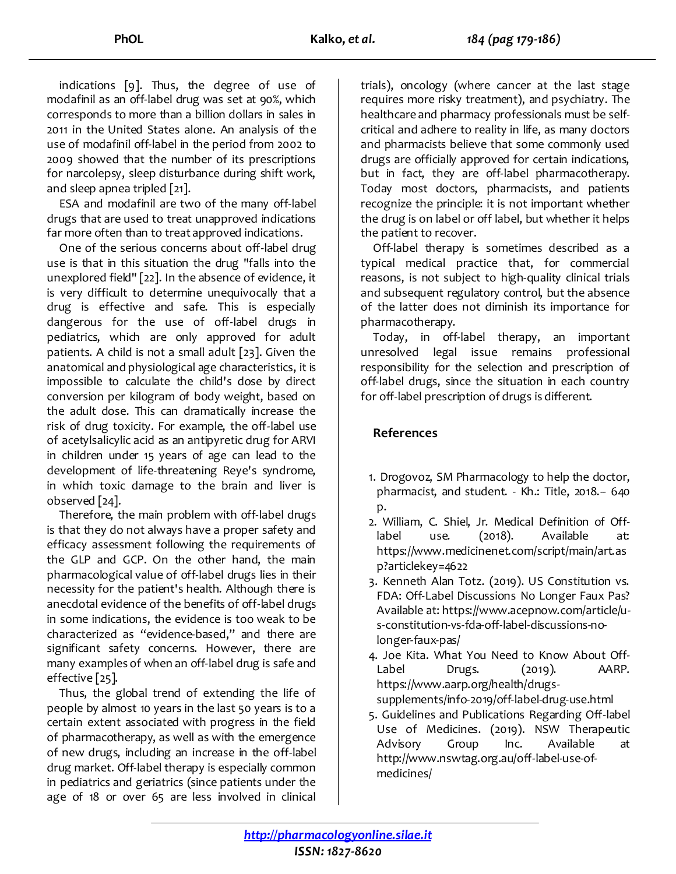indications [9]. Thus, the degree of use of modafinil as an off-label drug was set at 90%, which corresponds to more than a billion dollars in sales in 2011 in the United States alone. An analysis of the use of modafinil off-label in the period from 2002 to 2009 showed that the number of its prescriptions for narcolepsy, sleep disturbance during shift work, and sleep apnea tripled [21].

ESA and modafinil are two of the many off-label drugs that are used to treat unapproved indications far more often than to treat approved indications.

One of the serious concerns about off-label drug use is that in this situation the drug "falls into the unexplored field" [22]. In the absence of evidence, it is very difficult to determine unequivocally that a drug is effective and safe. This is especially dangerous for the use of off-label drugs in pediatrics, which are only approved for adult patients. A child is not a small adult [23]. Given the anatomical and physiological age characteristics, it is impossible to calculate the child's dose by direct conversion per kilogram of body weight, based on the adult dose. This can dramatically increase the risk of drug toxicity. For example, the off-label use of acetylsalicylic acid as an antipyretic drug for ARVI in children under 15 years of age can lead to the development of life-threatening Reye's syndrome, in which toxic damage to the brain and liver is observed [24].

Therefore, the main problem with off-label drugs is that they do not always have a proper safety and efficacy assessment following the requirements of the GLP and GCP. On the other hand, the main pharmacological value of off-label drugs lies in their necessity for the patient's health. Although there is anecdotal evidence of the benefits of off-label drugs in some indications, the evidence is too weak to be characterized as "evidence-based," and there are significant safety concerns. However, there are many examples of when an off-label drug is safe and effective [25].

Thus, the global trend of extending the life of people by almost 10 years in the last 50 years is to a certain extent associated with progress in the field of pharmacotherapy, as well as with the emergence of new drugs, including an increase in the off-label drug market. Off-label therapy is especially common in pediatrics and geriatrics (since patients under the age of 18 or over 65 are less involved in clinical

trials), oncology (where cancer at the last stage requires more risky treatment), and psychiatry. The healthcare and pharmacy professionals must be selfcritical and adhere to reality in life, as many doctors and pharmacists believe that some commonly used drugs are officially approved for certain indications, but in fact, they are off-label pharmacotherapy. Today most doctors, pharmacists, and patients recognize the principle: it is not important whether the drug is on label or off label, but whether it helps the patient to recover.

Off-label therapy is sometimes described as a typical medical practice that, for commercial reasons, is not subject to high-quality clinical trials and subsequent regulatory control, but the absence of the latter does not diminish its importance for pharmacotherapy.

Today, in off-label therapy, an important unresolved legal issue remains professional responsibility for the selection and prescription of off-label drugs, since the situation in each country for off-label prescription of drugs is different.

### **References**

- 1. Drogovoz, SM Pharmacology to help the doctor, pharmacist, and student. - Kh.: Title, 2018.- 640 p.
- 2. William, C. Shiel, Jr. Medical Definition of Offlabel use. (2018). Available at: [https://www.medicinenet.com/script/main/art.as](https://www.medicinenet.com/script/main/art.asp?articlekey=4622) [p?articlekey=4622](https://www.medicinenet.com/script/main/art.asp?articlekey=4622)
- 3. Kenneth Alan Totz. (2019). US Constitution vs. FDA: Off-Label Discussions No Longer Faux Pas? Available at[: https://www.acepnow.com/article/u](https://www.acepnow.com/article/u-s-constitution-vs-fda-off-label-discussions-no-longer-faux-pas/)[s-constitution-vs-fda-off-label-discussions-no](https://www.acepnow.com/article/u-s-constitution-vs-fda-off-label-discussions-no-longer-faux-pas/)[longer-faux-pas/](https://www.acepnow.com/article/u-s-constitution-vs-fda-off-label-discussions-no-longer-faux-pas/)
- 4. Joe Kita. What You Need to Know About Off-Label Drugs. (2019). AARP. [https://www.aarp.org/health/drugs](https://www.aarp.org/health/drugs-supplements/info-2019/off-label-drug-use.html)[supplements/info-2019/off-label-drug-use.html](https://www.aarp.org/health/drugs-supplements/info-2019/off-label-drug-use.html)
- 5. Guidelines and Publications Regarding Off-label Use of Medicines. (2019). NSW Therapeutic Advisory Group Inc. Available at [http://www.nswtag.org.au/off-label-use-of](http://www.nswtag.org.au/off-label-use-of-medicines/)[medicines/](http://www.nswtag.org.au/off-label-use-of-medicines/)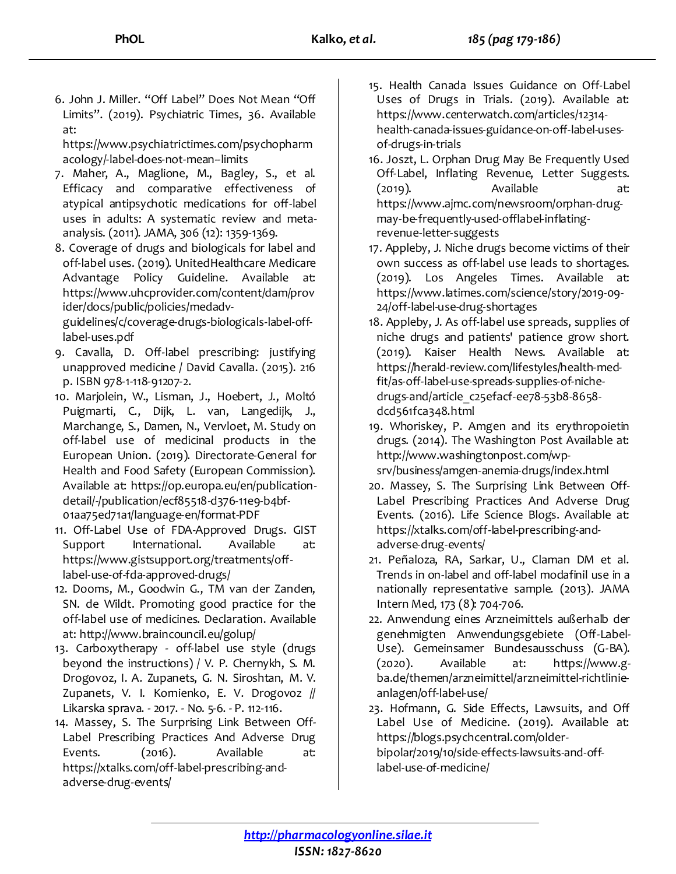6. John J. Miller. "Off Label" Does Not Mean "Off Limits". (2019). Psychiatric Times, 36. Available at:

[https://www.psychiatrictimes.com/psychopharm](https://www.psychiatrictimes.com/psychopharmacology/-label-does-not-mean--limits) [acology/-label-does-not-mean--limits](https://www.psychiatrictimes.com/psychopharmacology/-label-does-not-mean--limits)

- 7. Maher, A., Maglione, M., Bagley, S., et al. Efficacy and comparative effectiveness of atypical antipsychotic medications for off-label uses in adults: A systematic review and metaanalysis. (2011). JAMA, 306 (12): 1359-1369.
- 8. Coverage of drugs and biologicals for label and off-label uses. (2019). UnitedHealthcare Medicare Advantage Policy Guideline. Available at: [https://www.uhcprovider.com/content/dam/prov](https://www.uhcprovider.com/content/dam/provider/docs/public/policies/medadv-guidelines/c/coverage-drugs-biologicals-label-off-label-uses.pdf) [ider/docs/public/policies/medadv-](https://www.uhcprovider.com/content/dam/provider/docs/public/policies/medadv-guidelines/c/coverage-drugs-biologicals-label-off-label-uses.pdf)

[guidelines/c/coverage-drugs-biologicals-label-off](https://www.uhcprovider.com/content/dam/provider/docs/public/policies/medadv-guidelines/c/coverage-drugs-biologicals-label-off-label-uses.pdf)[label-uses.pdf](https://www.uhcprovider.com/content/dam/provider/docs/public/policies/medadv-guidelines/c/coverage-drugs-biologicals-label-off-label-uses.pdf)

- 9. Cavalla, D. Off-label prescribing: justifying unapproved medicine / David Cavalla. (2015). 216 p. ISBN 978-1-118-91207-2.
- 10. Marjolein, W., Lisman, J., Hoebert, J., Moltó Puigmarti, C., Dijk, L. van, Langedijk, J., Marchange, S., Damen, N., Vervloet, M. Study on off-label use of medicinal products in the European Union. (2019). Directorate-General for Health and Food Safety (European Commission). Available at: [https://op.europa.eu/en/publication](https://op.europa.eu/en/publication-detail/-/publication/ecf85518-d376-11e9-b4bf-01aa75ed71a1/language-en/format-PDF)[detail/-/publication/ecf85518-d376-11e9-b4bf-](https://op.europa.eu/en/publication-detail/-/publication/ecf85518-d376-11e9-b4bf-01aa75ed71a1/language-en/format-PDF)[01aa75ed71a1/language-en/format-PDF](https://op.europa.eu/en/publication-detail/-/publication/ecf85518-d376-11e9-b4bf-01aa75ed71a1/language-en/format-PDF)
- 11. Off-Label Use of FDA-Approved Drugs. GIST Support International. Available at: [https://www.gistsupport.org/treatments/off](https://www.gistsupport.org/treatments/off-label-use-of-fda-approved-drugs/)[label-use-of-fda-approved-drugs/](https://www.gistsupport.org/treatments/off-label-use-of-fda-approved-drugs/)
- 12. Dooms, M., Goodwin G., TM van der Zanden, SN. de Wildt. Promoting good practice for the off-label use of medicines. Declaration. Available at[: http://www.braincouncil.eu/golup/](http://www.braincouncil.eu/golup/)
- 13. Carboxytherapy off-label use style (drugs beyond the instructions) / V. P. Chernykh, S. M. Drogovoz, I. A. Zupanets, G. N. Siroshtan, M. V. Zupanets, V. I. Komienko, E. V. Drogovoz // Likarska sprava. - 2017. - No. 5-6. - P. 112-116.
- 14. Massey, S. The Surprising Link Between Off-Label Prescribing Practices And Adverse Drug Events. (2016). Available at: [https://xtalks.com/off-label-prescribing-and](https://xtalks.com/off-label-prescribing-and-adverse-drug-events/)[adverse-drug-events/](https://xtalks.com/off-label-prescribing-and-adverse-drug-events/)
- 15. Health Canada Issues Guidance on Off-Label Uses of Drugs in Trials. (2019). Available at: [https://www.centerwatch.com/articles/12314](https://www.centerwatch.com/articles/12314-health-canada-issues-guidance-on-off-label-uses-of-drugs-in-trials) [health-canada-issues-guidance-on-off-label-uses](https://www.centerwatch.com/articles/12314-health-canada-issues-guidance-on-off-label-uses-of-drugs-in-trials)[of-drugs-in-trials](https://www.centerwatch.com/articles/12314-health-canada-issues-guidance-on-off-label-uses-of-drugs-in-trials)
- 16. Joszt, L. Orphan Drug May Be Frequently Used Off-Label, Inflating Revenue, Letter Suggests. (2019). Available at: [https://www.ajmc.com/newsroom/orphan-drug](https://www.ajmc.com/newsroom/orphan-drug-may-be-frequently-used-offlabel-inflating-revenue-letter-suggests)[may-be-frequently-used-offlabel-inflating](https://www.ajmc.com/newsroom/orphan-drug-may-be-frequently-used-offlabel-inflating-revenue-letter-suggests)[revenue-letter-suggests](https://www.ajmc.com/newsroom/orphan-drug-may-be-frequently-used-offlabel-inflating-revenue-letter-suggests)
- 17. Appleby, J. Niche drugs become victims of their own success as off-label use leads to shortages. (2019). Los Angeles Times. Available at: [https://www.latimes.com/science/story/2019-09-](https://www.latimes.com/science/story/2019-09-24/off-label-use-drug-shortages) [24/off-label-use-drug-shortages](https://www.latimes.com/science/story/2019-09-24/off-label-use-drug-shortages)
- 18. Appleby, J. As off-label use spreads, supplies of niche drugs and patients' patience grow short. (2019). Kaiser Health News. Available at: [https://herald-review.com/lifestyles/health-med](https://herald-review.com/lifestyles/health-med-fit/as-off-label-use-spreads-supplies-of-niche-drugs-and/article_c25efacf-ee78-53b8-8658-dcd561fca348.html)[fit/as-off-label-use-spreads-supplies-of-niche](https://herald-review.com/lifestyles/health-med-fit/as-off-label-use-spreads-supplies-of-niche-drugs-and/article_c25efacf-ee78-53b8-8658-dcd561fca348.html)[drugs-and/article\\_c25efacf-ee78-53b8-8658](https://herald-review.com/lifestyles/health-med-fit/as-off-label-use-spreads-supplies-of-niche-drugs-and/article_c25efacf-ee78-53b8-8658-dcd561fca348.html) [dcd561fca348.html](https://herald-review.com/lifestyles/health-med-fit/as-off-label-use-spreads-supplies-of-niche-drugs-and/article_c25efacf-ee78-53b8-8658-dcd561fca348.html)
- 19. Whoriskey, P. Amgen and its erythropoietin drugs. (2014). The Washington Post Available at: [http://www.washingtonpost.com/wp](http://www.washingtonpost.com/wp-srv/business/amgen-anemia-drugs/index.html)[srv/business/amgen-anemia-drugs/index.html](http://www.washingtonpost.com/wp-srv/business/amgen-anemia-drugs/index.html)
- 20. Massey, S. The Surprising Link Between Off-Label Prescribing Practices And Adverse Drug Events. (2016). Life Science Blogs. Available at: [https://xtalks.com/off-label-prescribing-and](https://xtalks.com/off-label-prescribing-and-adverse-drug-events/)[adverse-drug-events/](https://xtalks.com/off-label-prescribing-and-adverse-drug-events/)
- 21. Peñaloza, RA, Sarkar, U., Claman DM et al. Trends in on-label and off-label modafinil use in a nationally representative sample. (2013). JAMA Intern Med, 173 (8): 704-706.
- 22. Anwendung eines Arzneimittels außerhalb der genehmigten Anwendungsgebiete (Off-Label-Use). Gemeinsamer Bundesausschuss (G-BA). (2020). Available at: [https://www.g](https://www.g-ba.de/themen/arzneimittel/arzneimittel-richtlinie-anlagen/off-label-use/)[ba.de/themen/arzneimittel/arzneimittel-richtlinie](https://www.g-ba.de/themen/arzneimittel/arzneimittel-richtlinie-anlagen/off-label-use/)[anlagen/off-label-use/](https://www.g-ba.de/themen/arzneimittel/arzneimittel-richtlinie-anlagen/off-label-use/)

23. Hofmann, G. Side Effects, Lawsuits, and Off Label Use of Medicine. (2019). Available at: [https://blogs.psychcentral.com/older](https://blogs.psychcentral.com/older-bipolar/2019/10/side-effects-lawsuits-and-off-label-use-of-medicine/)[bipolar/2019/10/side-effects-lawsuits-and-off-](https://blogs.psychcentral.com/older-bipolar/2019/10/side-effects-lawsuits-and-off-label-use-of-medicine/)

[label-use-of-medicine/](https://blogs.psychcentral.com/older-bipolar/2019/10/side-effects-lawsuits-and-off-label-use-of-medicine/)